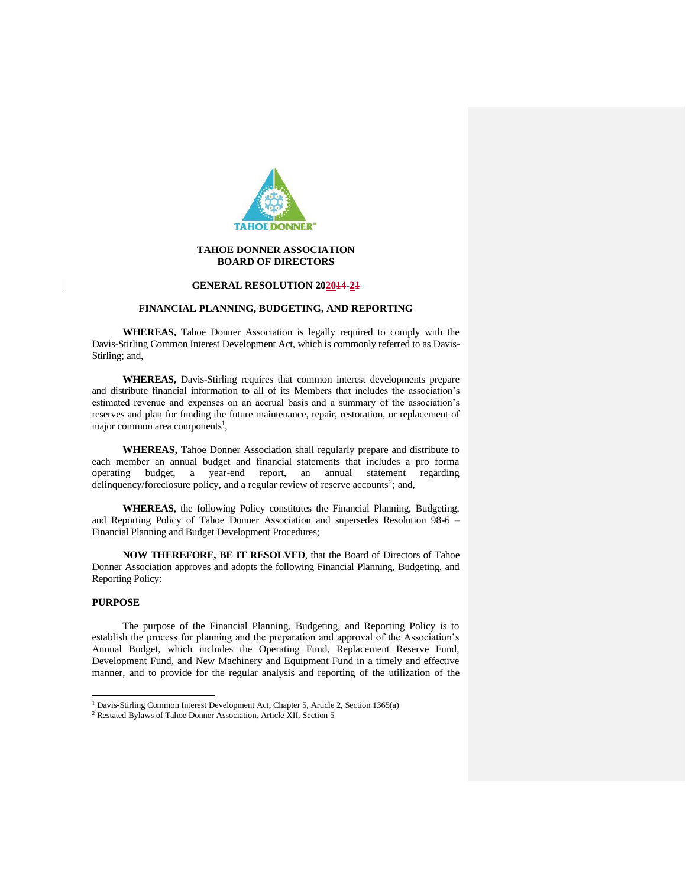

### **TAHOE DONNER ASSOCIATION BOARD OF DIRECTORS**

## **GENERAL RESOLUTION 202014-21**

# **FINANCIAL PLANNING, BUDGETING, AND REPORTING**

**WHEREAS,** Tahoe Donner Association is legally required to comply with the Davis-Stirling Common Interest Development Act, which is commonly referred to as Davis-Stirling; and,

**WHEREAS,** Davis-Stirling requires that common interest developments prepare and distribute financial information to all of its Members that includes the association's estimated revenue and expenses on an accrual basis and a summary of the association's reserves and plan for funding the future maintenance, repair, restoration, or replacement of major common area components<sup>1</sup>,

WHEREAS, Tahoe Donner Association shall regularly prepare and distribute to each member an annual budget and financial statements that includes a pro forma operating budget, a year-end report, an annual statement regarding delinquency/foreclosure policy, and a regular review of reserve accounts<sup>2</sup>; and,

**WHEREAS**, the following Policy constitutes the Financial Planning, Budgeting, and Reporting Policy of Tahoe Donner Association and supersedes Resolution 98-6 – Financial Planning and Budget Development Procedures;

**NOW THEREFORE, BE IT RESOLVED**, that the Board of Directors of Tahoe Donner Association approves and adopts the following Financial Planning, Budgeting, and Reporting Policy:

# **PURPOSE**

The purpose of the Financial Planning, Budgeting, and Reporting Policy is to establish the process for planning and the preparation and approval of the Association's Annual Budget, which includes the Operating Fund, Replacement Reserve Fund, Development Fund, and New Machinery and Equipment Fund in a timely and effective manner, and to provide for the regular analysis and reporting of the utilization of the

<sup>&</sup>lt;sup>1</sup> Davis-Stirling Common Interest Development Act, Chapter 5, Article 2, Section 1365(a)

<sup>&</sup>lt;sup>2</sup> Restated Bylaws of Tahoe Donner Association, Article XII, Section 5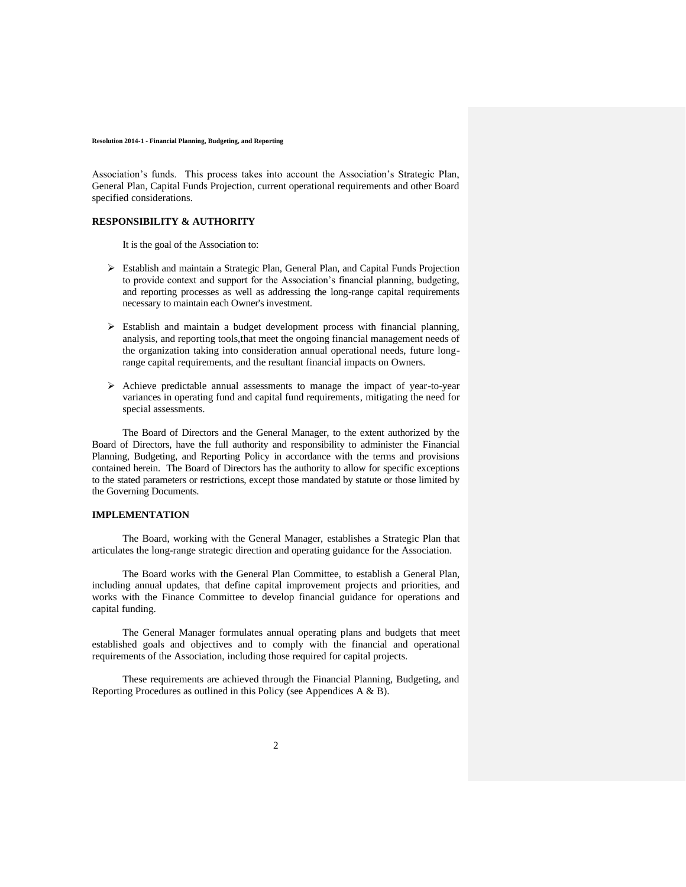Association's funds. This process takes into account the Association's Strategic Plan, General Plan, Capital Funds Projection, current operational requirements and other Board specified considerations.

# **RESPONSIBILITY & AUTHORITY**

It is the goal of the Association to:

- ➢ Establish and maintain a Strategic Plan, General Plan, and Capital Funds Projection to provide context and support for the Association's financial planning, budgeting, and reporting processes as well as addressing the long-range capital requirements necessary to maintain each Owner's investment.
- ➢ Establish and maintain a budget development process with financial planning, analysis, and reporting tools,that meet the ongoing financial management needs of the organization taking into consideration annual operational needs, future longrange capital requirements, and the resultant financial impacts on Owners.
- ➢ Achieve predictable annual assessments to manage the impact of year-to-year variances in operating fund and capital fund requirements, mitigating the need for special assessments.

The Board of Directors and the General Manager, to the extent authorized by the Board of Directors, have the full authority and responsibility to administer the Financial Planning, Budgeting, and Reporting Policy in accordance with the terms and provisions contained herein. The Board of Directors has the authority to allow for specific exceptions to the stated parameters or restrictions, except those mandated by statute or those limited by the Governing Documents.

## **IMPLEMENTATION**

The Board, working with the General Manager, establishes a Strategic Plan that articulates the long-range strategic direction and operating guidance for the Association.

The Board works with the General Plan Committee, to establish a General Plan, including annual updates, that define capital improvement projects and priorities, and works with the Finance Committee to develop financial guidance for operations and capital funding.

The General Manager formulates annual operating plans and budgets that meet established goals and objectives and to comply with the financial and operational requirements of the Association, including those required for capital projects.

These requirements are achieved through the Financial Planning, Budgeting, and Reporting Procedures as outlined in this Policy (see Appendices A & B).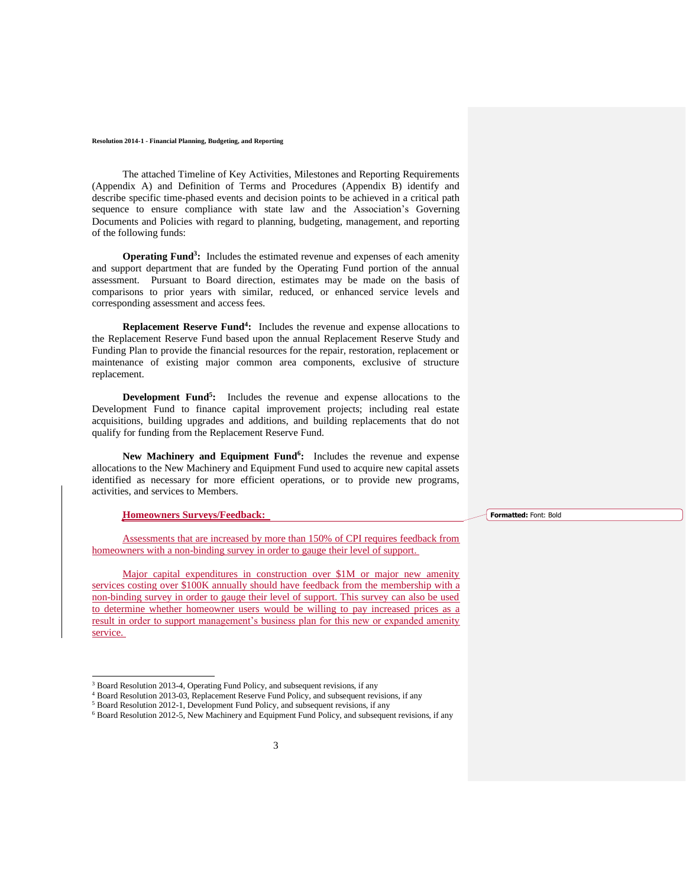The attached Timeline of Key Activities, Milestones and Reporting Requirements (Appendix A) and Definition of Terms and Procedures (Appendix B) identify and describe specific time-phased events and decision points to be achieved in a critical path sequence to ensure compliance with state law and the Association's Governing Documents and Policies with regard to planning, budgeting, management, and reporting of the following funds:

**Operating Fund<sup>3</sup> :** Includes the estimated revenue and expenses of each amenity and support department that are funded by the Operating Fund portion of the annual assessment. Pursuant to Board direction, estimates may be made on the basis of comparisons to prior years with similar, reduced, or enhanced service levels and corresponding assessment and access fees.

**Replacement Reserve Fund<sup>4</sup> :** Includes the revenue and expense allocations to the Replacement Reserve Fund based upon the annual Replacement Reserve Study and Funding Plan to provide the financial resources for the repair, restoration, replacement or maintenance of existing major common area components, exclusive of structure replacement.

**Development Fund<sup>5</sup> :** Includes the revenue and expense allocations to the Development Fund to finance capital improvement projects; including real estate acquisitions, building upgrades and additions, and building replacements that do not qualify for funding from the Replacement Reserve Fund.

**New Machinery and Equipment Fund<sup>6</sup> :** Includes the revenue and expense allocations to the New Machinery and Equipment Fund used to acquire new capital assets identified as necessary for more efficient operations, or to provide new programs, activities, and services to Members.

#### **Homeowners Surveys/Feedback:**

Assessments that are increased by more than 150% of CPI requires feedback from homeowners with a non-binding survey in order to gauge their level of support.

Major capital expenditures in construction over \$1M or major new amenity services costing over \$100K annually should have feedback from the membership with a non-binding survey in order to gauge their level of support. This survey can also be used to determine whether homeowner users would be willing to pay increased prices as a result in order to support management's business plan for this new or expanded amenity service.

**Formatted:** Font: Bold

<sup>3</sup> Board Resolution 2013-4, Operating Fund Policy, and subsequent revisions, if any

<sup>&</sup>lt;sup>4</sup> Board Resolution 2013-03, Replacement Reserve Fund Policy, and subsequent revisions, if any

<sup>5</sup> Board Resolution 2012-1, Development Fund Policy, and subsequent revisions, if any

<sup>6</sup> Board Resolution 2012-5, New Machinery and Equipment Fund Policy, and subsequent revisions, if any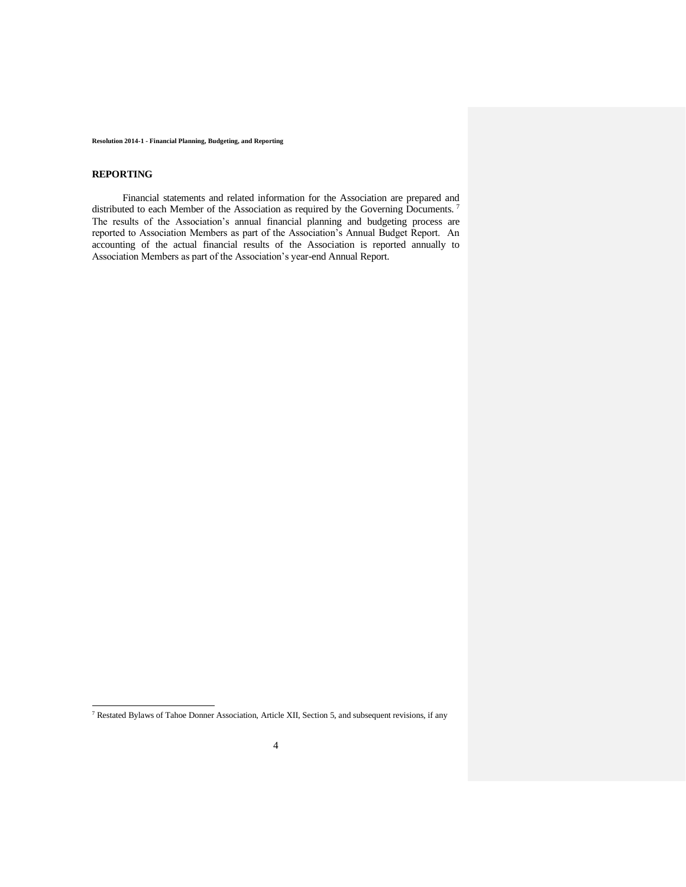# **REPORTING**

Financial statements and related information for the Association are prepared and distributed to each Member of the Association as required by the Governing Documents.<sup>7</sup> The results of the Association's annual financial planning and budgeting process are reported to Association Members as part of the Association's Annual Budget Report. An accounting of the actual financial results of the Association is reported annually to Association Members as part of the Association's year-end Annual Report.

<sup>7</sup> Restated Bylaws of Tahoe Donner Association, Article XII, Section 5, and subsequent revisions, if any